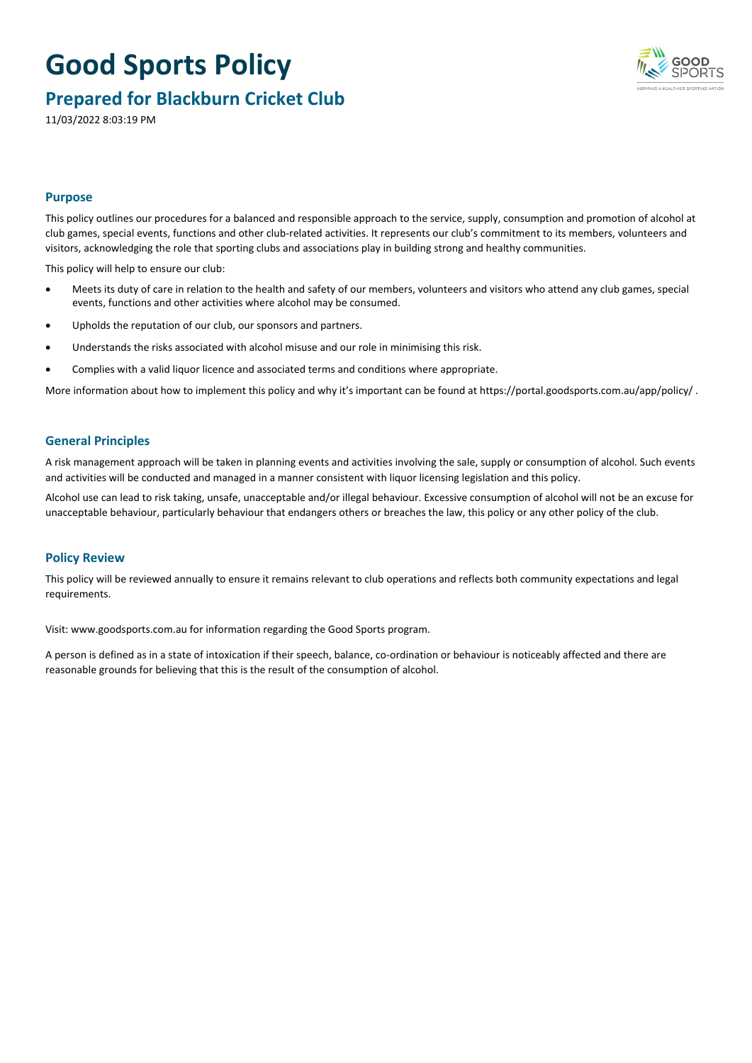## **Prepared for Blackburn Cricket Club**



11/03/2022 8:03:19 PM

### **Purpose**

This policy outlines our procedures for a balanced and responsible approach to the service, supply, consumption and promotion of alcohol at club games, special events, functions and other club-related activities. It represents our club's commitment to its members, volunteers and visitors, acknowledging the role that sporting clubs and associations play in building strong and healthy communities.

This policy will help to ensure our club:

- Meets its duty of care in relation to the health and safety of our members, volunteers and visitors who attend any club games, special events, functions and other activities where alcohol may be consumed.
- Upholds the reputation of our club, our sponsors and partners.
- Understands the risks associated with alcohol misuse and our role in minimising this risk.
- Complies with a valid liquor licence and associated terms and conditions where appropriate.

More information about how to implement this policy and why it's important can be found at https://portal.goodsports.com.au/app/policy/ .

### **General Principles**

A risk management approach will be taken in planning events and activities involving the sale, supply or consumption of alcohol. Such events and activities will be conducted and managed in a manner consistent with liquor licensing legislation and this policy.

Alcohol use can lead to risk taking, unsafe, unacceptable and/or illegal behaviour. Excessive consumption of alcohol will not be an excuse for unacceptable behaviour, particularly behaviour that endangers others or breaches the law, this policy or any other policy of the club.

#### **Policy Review**

This policy will be reviewed annually to ensure it remains relevant to club operations and reflects both community expectations and legal requirements.

Visit: [www.goodsports.com.au](http://www.goodsports.com.au) for information regarding the Good Sports program.

A person is defined as in a state of intoxication if their speech, balance, co-ordination or behaviour is noticeably affected and there are reasonable grounds for believing that this is the result of the consumption of alcohol.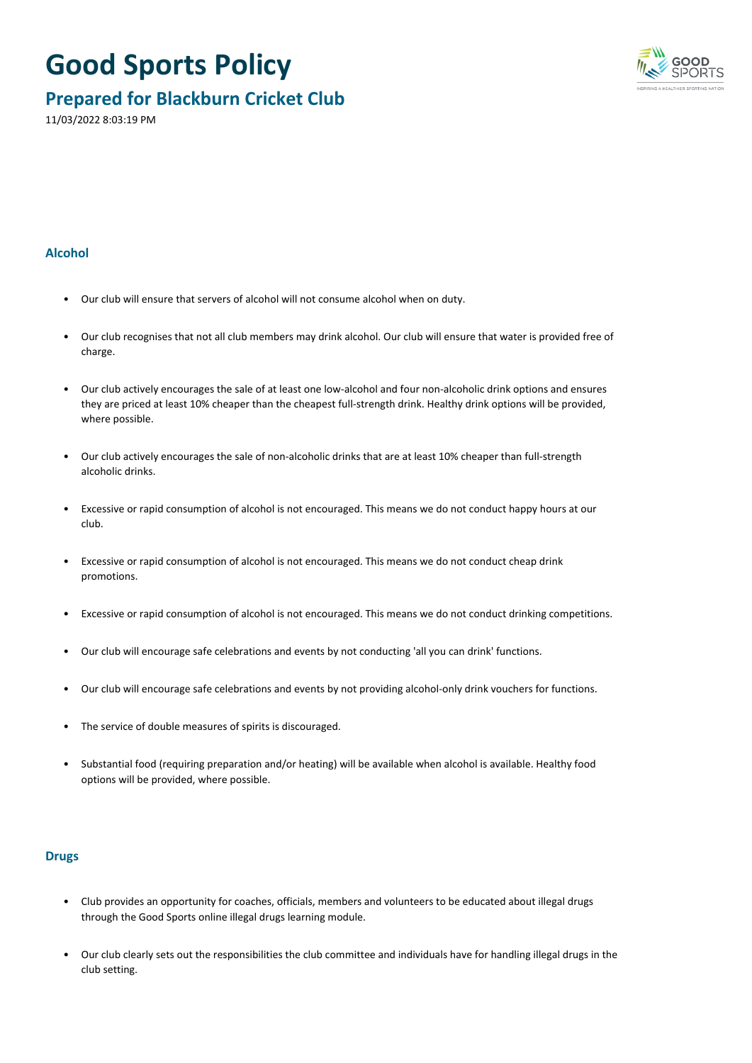## **Prepared for Blackburn Cricket Club**

11/03/2022 8:03:19 PM



### **Alcohol**

- Our club will ensure that servers of alcohol will not consume alcohol when on duty.
- Our club recognises that not all club members may drink alcohol. Our club will ensure that water is provided free of charge.
- Our club actively encourages the sale of at least one low-alcohol and four non-alcoholic drink options and ensures they are priced at least 10% cheaper than the cheapest full-strength drink. Healthy drink options will be provided, where possible.
- Our club actively encourages the sale of non-alcoholic drinks that are at least 10% cheaper than full-strength alcoholic drinks.
- Excessive or rapid consumption of alcohol is not encouraged. This means we do not conduct happy hours at our club.
- Excessive or rapid consumption of alcohol is not encouraged. This means we do not conduct cheap drink promotions.
- Excessive or rapid consumption of alcohol is not encouraged. This means we do not conduct drinking competitions.
- Our club will encourage safe celebrations and events by not conducting 'all you can drink' functions.
- Our club will encourage safe celebrations and events by not providing alcohol-only drink vouchers for functions.
- The service of double measures of spirits is discouraged.
- Substantial food (requiring preparation and/or heating) will be available when alcohol is available. Healthy food options will be provided, where possible.

### **Drugs**

- Club provides an opportunity for coaches, officials, members and volunteers to be educated about illegal drugs through the Good Sports online illegal drugs learning module.
- Our club clearly sets out the responsibilities the club committee and individuals have for handling illegal drugs in the club setting.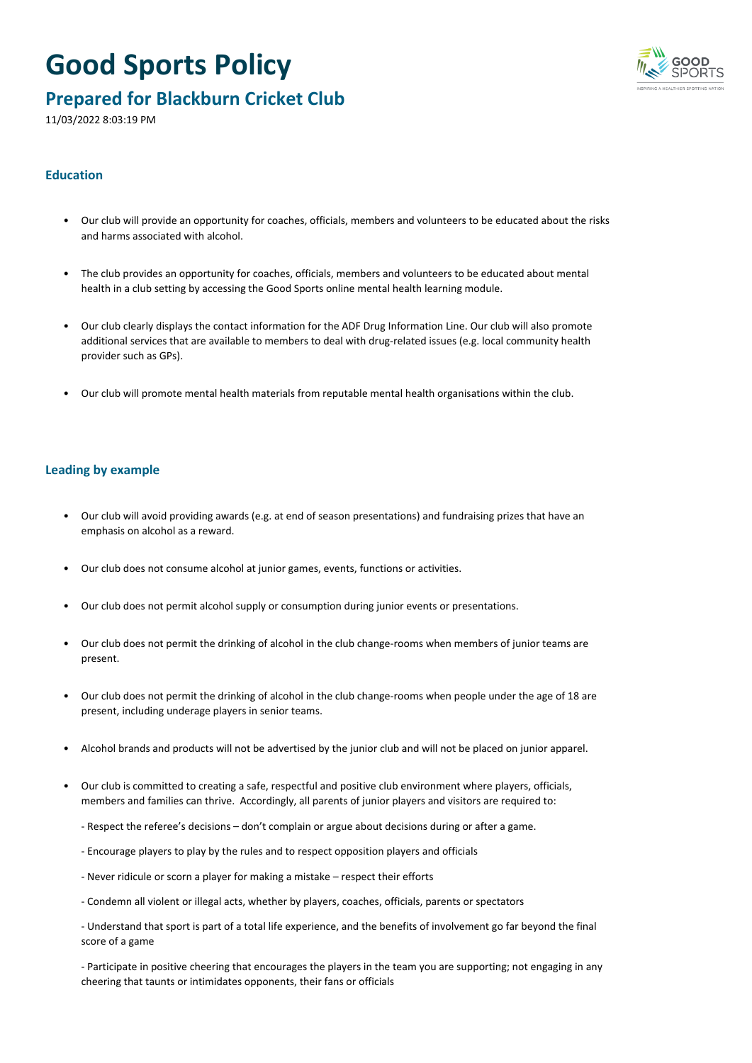## **Prepared for Blackburn Cricket Club**



11/03/2022 8:03:19 PM

### **Education**

- Our club will provide an opportunity for coaches, officials, members and volunteers to be educated about the risks and harms associated with alcohol.
- The club provides an opportunity for coaches, officials, members and volunteers to be educated about mental health in a club setting by accessing the Good Sports online mental health learning module.
- Our club clearly displays the contact information for the ADF Drug Information Line. Our club will also promote additional services that are available to members to deal with drug-related issues (e.g. local community health provider such as GPs).
- Our club will promote mental health materials from reputable mental health organisations within the club.

### **Leading by example**

- Our club will avoid providing awards (e.g. at end of season presentations) and fundraising prizes that have an emphasis on alcohol as a reward.
- Our club does not consume alcohol at junior games, events, functions or activities.
- Our club does not permit alcohol supply or consumption during junior events or presentations.
- Our club does not permit the drinking of alcohol in the club change-rooms when members of junior teams are present.
- Our club does not permit the drinking of alcohol in the club change-rooms when people under the age of 18 are present, including underage players in senior teams.
- Alcohol brands and products will not be advertised by the junior club and will not be placed on junior apparel.
- Our club is committed to creating a safe, respectful and positive club environment where players, officials, members and families can thrive. Accordingly, all parents of junior players and visitors are required to:
	- Respect the referee's decisions don't complain or argue about decisions during or after a game.
	- Encourage players to play by the rules and to respect opposition players and officials
	- Never ridicule or scorn a player for making a mistake respect their efforts
	- Condemn all violent or illegal acts, whether by players, coaches, officials, parents or spectators
	- Understand that sport is part of a total life experience, and the benefits of involvement go far beyond the final score of a game
	- Participate in positive cheering that encourages the players in the team you are supporting; not engaging in any cheering that taunts or intimidates opponents, their fans or officials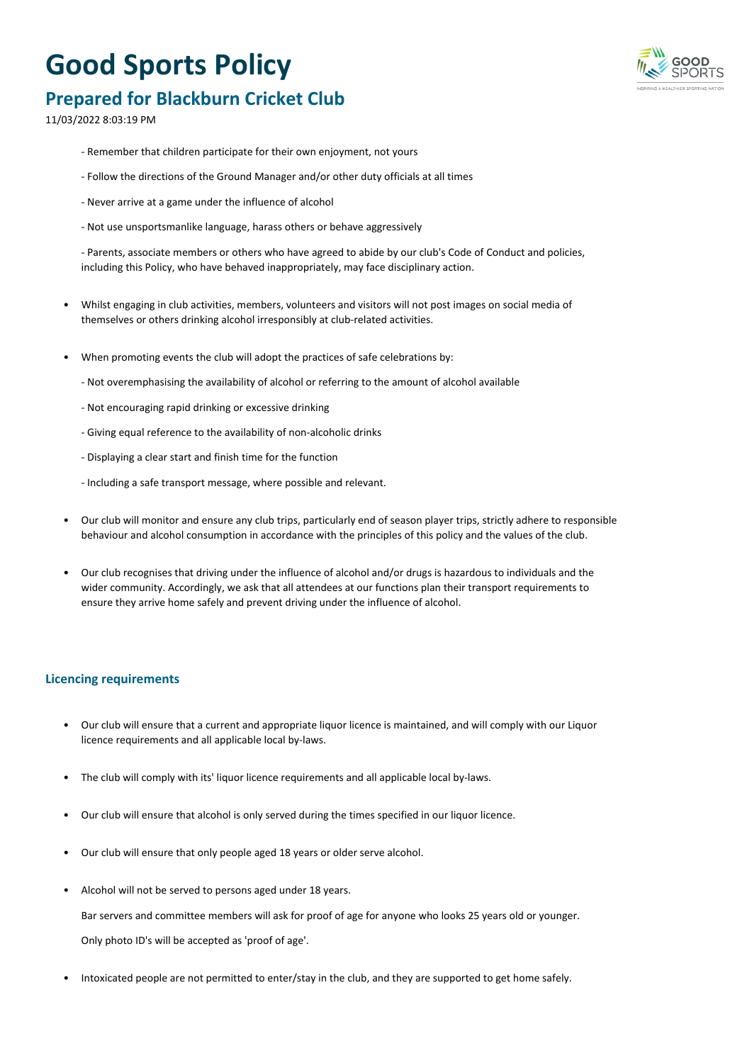## **Prepared for Blackburn Cricket Club**



11/03/2022 8:03:19 PM

- Remember that children participate for their own enjoyment, not yours
- Follow the directions of the Ground Manager and/or other duty officials at all times
- Never arrive at a game under the influence of alcohol
- Not use unsportsmanlike language, harass others or behave aggressively

- Parents, associate members or others who have agreed to abide by our club's Code of Conduct and policies, including this Policy, who have behaved inappropriately, may face disciplinary action.

- Whilst engaging in club activities, members, volunteers and visitors will not post images on social media of themselves or others drinking alcohol irresponsibly at club-related activities.
- When promoting events the club will adopt the practices of safe celebrations by:
	- Not overemphasising the availability of alcohol or referring to the amount of alcohol available
	- Not encouraging rapid drinking or excessive drinking
	- Giving equal reference to the availability of non-alcoholic drinks
	- Displaying a clear start and finish time for the function
	- Including a safe transport message, where possible and relevant.
- Our club will monitor and ensure any club trips, particularly end of season player trips, strictly adhere to responsible behaviour and alcohol consumption in accordance with the principles of this policy and the values of the club.
- Our club recognises that driving under the influence of alcohol and/or drugs is hazardous to individuals and the wider community. Accordingly, we ask that all attendees at our functions plan their transport requirements to ensure they arrive home safely and prevent driving under the influence of alcohol.

#### **Licencing requirements**

- Our club will ensure that a current and appropriate liquor licence is maintained, and will comply with our Liquor licence requirements and all applicable local by-laws.
- The club will comply with its' liquor licence requirements and all applicable local by-laws.
- Our club will ensure that alcohol is only served during the times specified in our liquor licence.
- Our club will ensure that only people aged 18 years or older serve alcohol.
- Alcohol will not be served to persons aged under 18 years.

Bar servers and committee members will ask for proof of age for anyone who looks 25 years old or younger.

Only photo ID's will be accepted as 'proof of age'.

• Intoxicated people are not permitted to enter/stay in the club, and they are supported to get home safely.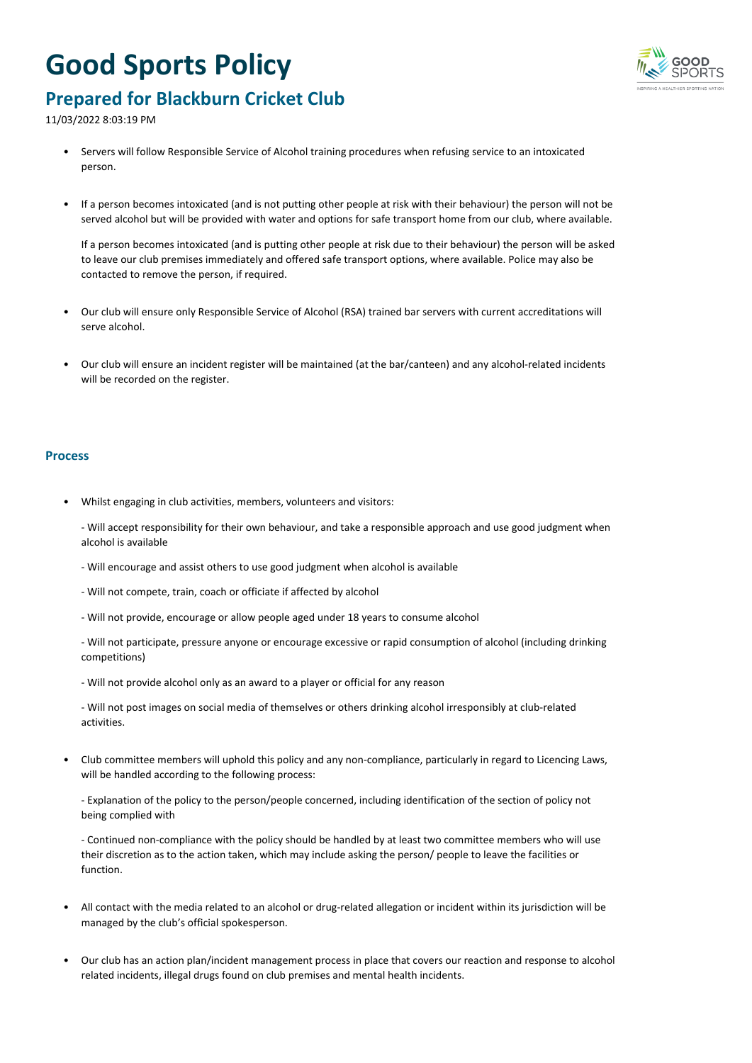

### **Prepared for Blackburn Cricket Club**

11/03/2022 8:03:19 PM

- Servers will follow Responsible Service of Alcohol training procedures when refusing service to an intoxicated person.
- If a person becomes intoxicated (and is not putting other people at risk with their behaviour) the person will not be served alcohol but will be provided with water and options for safe transport home from our club, where available.

If a person becomes intoxicated (and is putting other people at risk due to their behaviour) the person will be asked to leave our club premises immediately and offered safe transport options, where available. Police may also be contacted to remove the person, if required.

- Our club will ensure only Responsible Service of Alcohol (RSA) trained bar servers with current accreditations will serve alcohol.
- Our club will ensure an incident register will be maintained (at the bar/canteen) and any alcohol-related incidents will be recorded on the register.

#### **Process**

• Whilst engaging in club activities, members, volunteers and visitors:

- Will accept responsibility for their own behaviour, and take a responsible approach and use good judgment when alcohol is available

- Will encourage and assist others to use good judgment when alcohol is available
- Will not compete, train, coach or officiate if affected by alcohol
- Will not provide, encourage or allow people aged under 18 years to consume alcohol

- Will not participate, pressure anyone or encourage excessive or rapid consumption of alcohol (including drinking competitions)

- Will not provide alcohol only as an award to a player or official for any reason

- Will not post images on social media of themselves or others drinking alcohol irresponsibly at club-related activities.

• Club committee members will uphold this policy and any non-compliance, particularly in regard to Licencing Laws, will be handled according to the following process:

- Explanation of the policy to the person/people concerned, including identification of the section of policy not being complied with

- Continued non-compliance with the policy should be handled by at least two committee members who will use their discretion as to the action taken, which may include asking the person/ people to leave the facilities or function.

- All contact with the media related to an alcohol or drug-related allegation or incident within its jurisdiction will be managed by the club's official spokesperson.
- Our club has an action plan/incident management process in place that covers our reaction and response to alcohol related incidents, illegal drugs found on club premises and mental health incidents.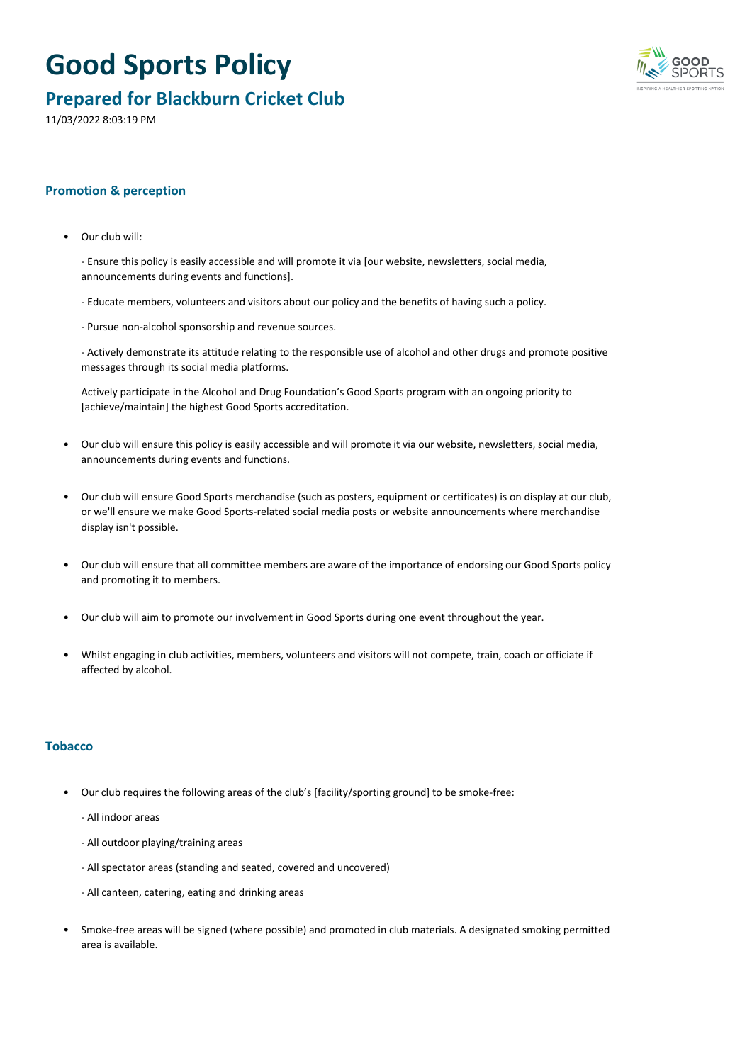### **Prepared for Blackburn Cricket Club**



11/03/2022 8:03:19 PM

### **Promotion & perception**

• Our club will:

- Ensure this policy is easily accessible and will promote it via [our website, newsletters, social media, announcements during events and functions].

- Educate members, volunteers and visitors about our policy and the benefits of having such a policy.
- Pursue non-alcohol sponsorship and revenue sources.

- Actively demonstrate its attitude relating to the responsible use of alcohol and other drugs and promote positive messages through its social media platforms.

Actively participate in the Alcohol and Drug Foundation's Good Sports program with an ongoing priority to [achieve/maintain] the highest Good Sports accreditation.

- Our club will ensure this policy is easily accessible and will promote it via our website, newsletters, social media, announcements during events and functions.
- Our club will ensure Good Sports merchandise (such as posters, equipment or certificates) is on display at our club, or we'll ensure we make Good Sports-related social media posts or website announcements where merchandise display isn't possible.
- Our club will ensure that all committee members are aware of the importance of endorsing our Good Sports policy and promoting it to members.
- Our club will aim to promote our involvement in Good Sports during one event throughout the year.
- Whilst engaging in club activities, members, volunteers and visitors will not compete, train, coach or officiate if affected by alcohol.

### **Tobacco**

- Our club requires the following areas of the club's [facility/sporting ground] to be smoke-free:
	- All indoor areas
	- All outdoor playing/training areas
	- All spectator areas (standing and seated, covered and uncovered)
	- All canteen, catering, eating and drinking areas
- Smoke-free areas will be signed (where possible) and promoted in club materials. A designated smoking permitted area is available.